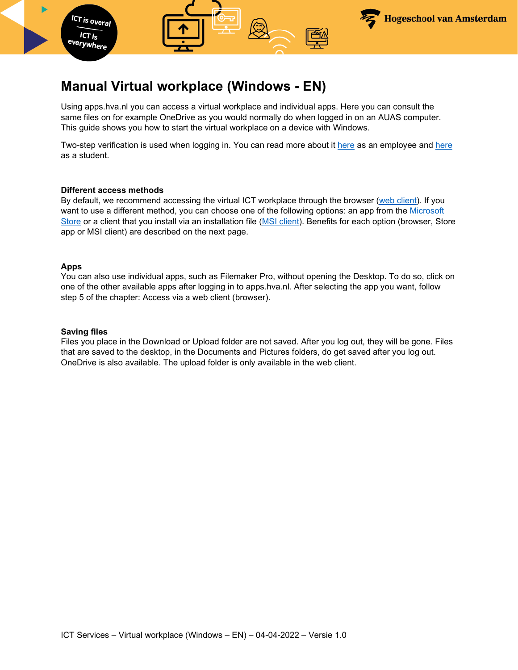

# **Manual Virtual workplace (Windows - EN)**

Using apps.hva.nl you can access a virtual workplace and individual apps. Here you can consult the same files on for example OneDrive as you would normally do when logged in on an AUAS computer. This guide shows you how to start the virtual workplace on a device with Windows.

Two-step verification is used when logging in. You can read more about it [here](https://az.hva.nl/en/employees/az-lemmas/employees/auas/its-si/two-step-verification/two-step-verification.html) as an employee and [here](https://student.amsterdamuas.com/az-lemmas/students/auas/its-si/two-step-verification/two-step-verification.html) as a student.

#### **Different access methods**

By default, we recommend accessing the virtual ICT workplace through the browser [\(web client\)](#page-2-0). If you want to use a different method, you can choose one of the following options: an app from the Microsoft Store or a client that you install via an installation file [\(MSI client\)](#page-6-0). Benefits for each option (browser, Store app or MSI client) are described on the next page.

#### **Apps**

You can also use individual apps, such as Filemaker Pro, without opening the Desktop. To do so, click on one of the other available apps after logging in to apps.hva.nl. After selecting the app you want, follow step 5 of the chapter: Access via a web client (browser).

#### **Saving files**

Files you place in the Download or Upload folder are not saved. After you log out, they will be gone. Files that are saved to the desktop, in the Documents and Pictures folders, do get saved after you log out. OneDrive is also available. The upload folder is only available in the web client.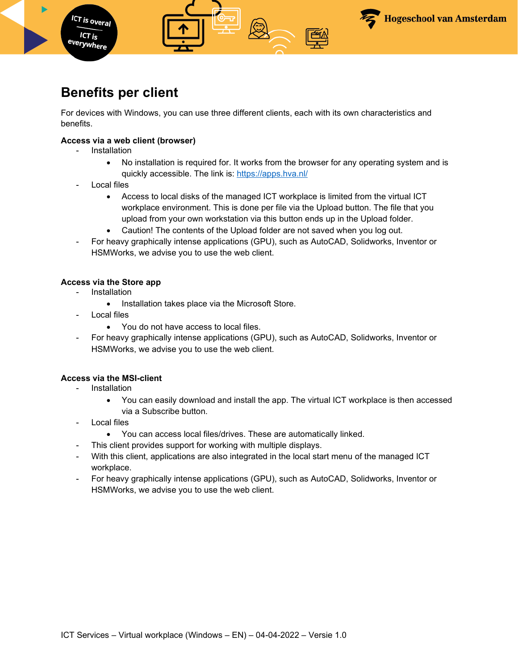

# **Benefits per client**

For devices with Windows, you can use three different clients, each with its own characteristics and benefits.

### **Access via a web client (browser)**

**Installation** 

**ICT** is overal  $ICT$  is <sup>everywhere</sup>

- No installation is required for. It works from the browser for any operating system and is quickly accessible. The link is:<https://apps.hva.nl/>
- Local files
	- Access to local disks of the managed ICT workplace is limited from the virtual ICT workplace environment. This is done per file via the Upload button. The file that you upload from your own workstation via this button ends up in the Upload folder.
	- Caution! The contents of the Upload folder are not saved when you log out.
- For heavy graphically intense applications (GPU), such as AutoCAD, Solidworks, Inventor or HSMWorks, we advise you to use the web client.

### **Access via the Store app**

- Installation
	- Installation takes place via the Microsoft Store.
- Local files
	- You do not have access to local files.
- For heavy graphically intense applications (GPU), such as AutoCAD, Solidworks, Inventor or HSMWorks, we advise you to use the web client.

### **Access via the MSI-client**

- **Installation** 
	- You can easily download and install the app. The virtual ICT workplace is then accessed via a Subscribe button.
- Local files
	- You can access local files/drives. These are automatically linked.
- This client provides support for working with multiple displays.
- With this client, applications are also integrated in the local start menu of the managed ICT workplace.
- For heavy graphically intense applications (GPU), such as AutoCAD, Solidworks, Inventor or HSMWorks, we advise you to use the web client.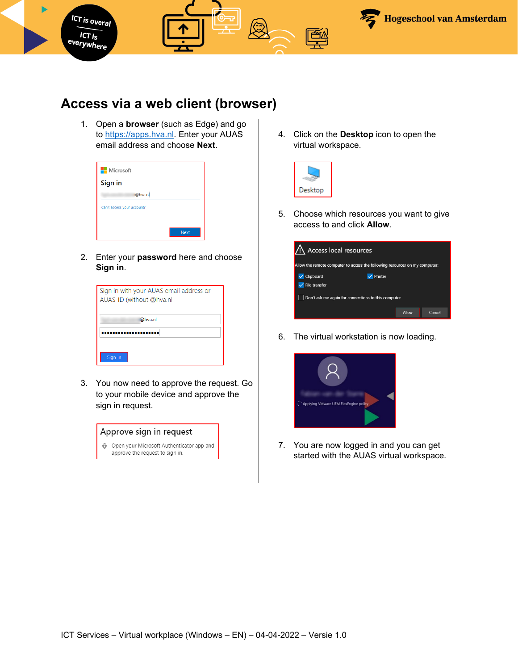

## <span id="page-2-0"></span>**Access via a web client (browser)**

1. Open a **browser** (such as Edge) and go to [https://apps.hva.nl.](https://apps.hva.nl/) Enter your AUAS email address and choose **Next**.

| <b>Microsoft</b>           |      |
|----------------------------|------|
| Sign in                    |      |
| @hva.nl                    |      |
| Can't access your account? |      |
|                            |      |
|                            | Next |

2. Enter your **password** here and choose **Sign in**.

| Sign in with your AUAS email address or<br>AUAS-ID (without @hva.nl |  |
|---------------------------------------------------------------------|--|
| @hva.nl                                                             |  |
|                                                                     |  |
| Sign in                                                             |  |

3. You now need to approve the request. Go to your mobile device and approve the sign in request.

| Approve sign in request |                                                                              |  |
|-------------------------|------------------------------------------------------------------------------|--|
|                         | Open your Microsoft Authenticator app and<br>approve the request to sign in. |  |

4. Click on the **Desktop** icon to open the virtual workspace.



5. Choose which resources you want to give access to and click **Allow**.

| Access local resources     |                                                                             |       |        |
|----------------------------|-----------------------------------------------------------------------------|-------|--------|
|                            | Allow the remote computer to access the following resources on my computer: |       |        |
| <b>Clipboard</b>           | Printer                                                                     |       |        |
| $\checkmark$ File transfer |                                                                             |       |        |
|                            | Don't ask me again for connections to this computer                         |       |        |
|                            |                                                                             | Allow | Cancel |

6. The virtual workstation is now loading.



7. You are now logged in and you can get started with the AUAS virtual workspace.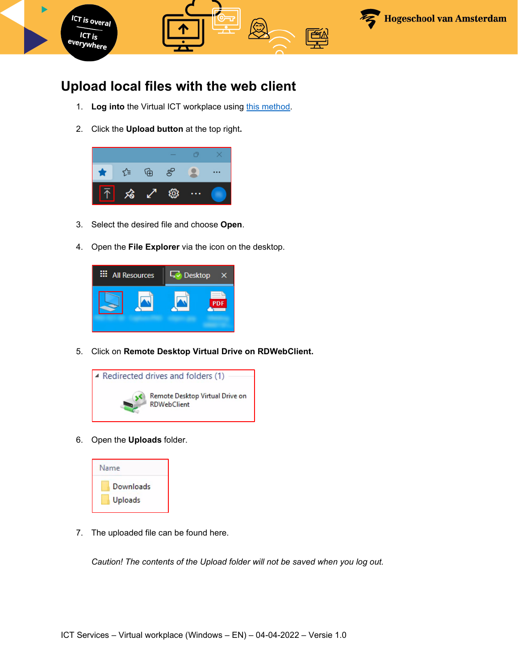

# **Upload local files with the web client**

- 1. Log into the Virtual ICT workplace using this method.
- 2. Click the **Upload button** at the top right**.**



- 3. Select the desired file and choose **Open**.
- 4. Open the **File Explorer** via the icon on the desktop.



5. Click on **Remote Desktop Virtual Drive on RDWebClient.** 



6. Open the **Uploads** folder.



7. The uploaded file can be found here.

*Caution! The contents of the Upload folder will not be saved when you log out.*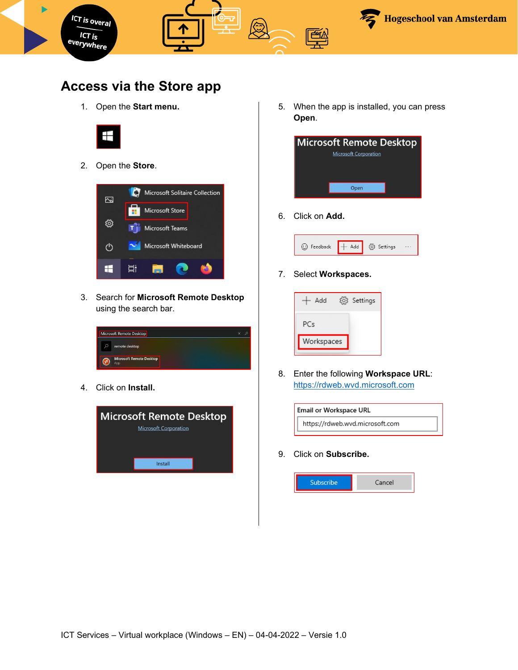

## **Access via the Store app**

1. Open the **Start menu.**



2. Open the **Store**.



3. Search for **Microsoft Remote Desktop** using the search bar.

|   | Microsoft Remote Desktop               | £ |
|---|----------------------------------------|---|
| Ω | remote desktop                         |   |
|   | <b>Microsoft Remote Desktop</b><br>App |   |

4. Click on **Install.**



5. When the app is installed, you can press **Open**.



6. Click on **Add.**



7. Select **Workspaces.** 



8. Enter the following **Workspace URL**: [https://rdweb.wvd.microsoft.com](https://rdweb.wvd.microsoft.com/)



9. Click on **Subscribe.** 

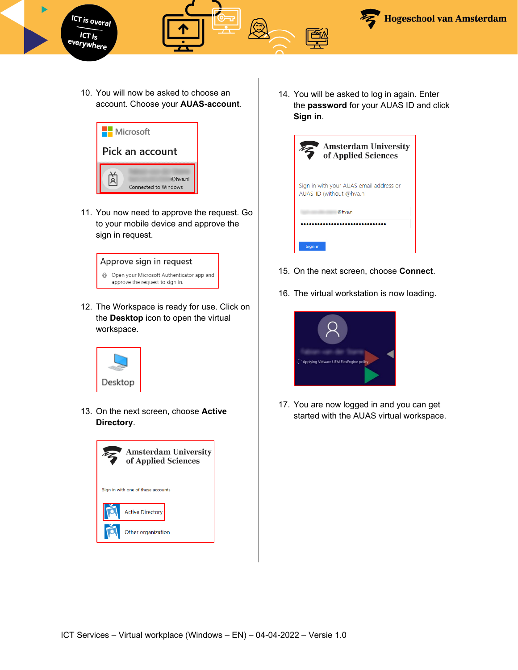

10. You will now be asked to choose an account. Choose your **AUAS-account**.



11. You now need to approve the request. Go to your mobile device and approve the sign in request.



12. The Workspace is ready for use. Click on the **Desktop** icon to open the virtual workspace.



13. On the next screen, choose **Active Directory**.



14. You will be asked to log in again. Enter the **password** for your AUAS ID and click **Sign in**.

| <b>Amsterdam University</b><br>of Applied Sciences                  |
|---------------------------------------------------------------------|
| Sign in with your AUAS email address or<br>AUAS-ID (without @hva.nl |
| @hva.nl                                                             |
|                                                                     |
| Sign in                                                             |

- 15. On the next screen, choose **Connect**.
- 16. The virtual workstation is now loading.



17. You are now logged in and you can get started with the AUAS virtual workspace.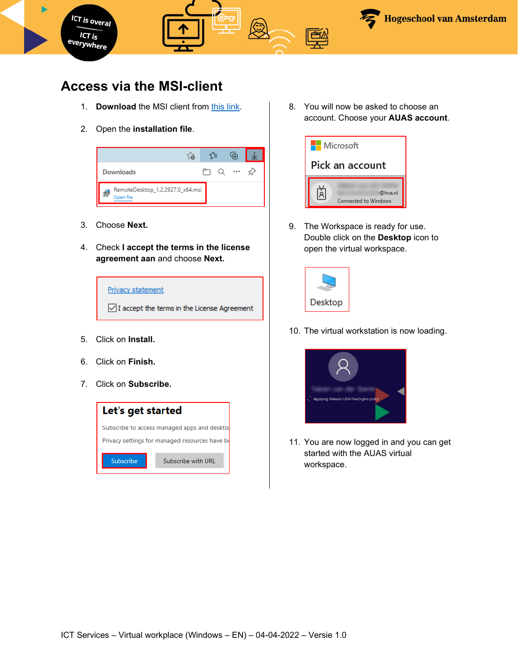

# <span id="page-6-0"></span>**Access via the MSI-client**

- 1. **Download** the MSI client from [this link.](https://go.microsoft.com/fwlink/?linkid=2068602)
- 2. Open the **installation file**.



- 3. Choose **Next.**
- 4. Check **I accept the terms in the license agreement aan** and choose **Next.**



- 5. Click on **Install.**
- 6. Click on **Finish.**
- 7. Click on **Subscribe.**



8. You will now be asked to choose an account. Choose your **AUAS account**.



9. The Workspace is ready for use. Double click on the **Desktop** icon to open the virtual workspace.



10. The virtual workstation is now loading.



11. You are now logged in and you can get started with the AUAS virtual workspace.